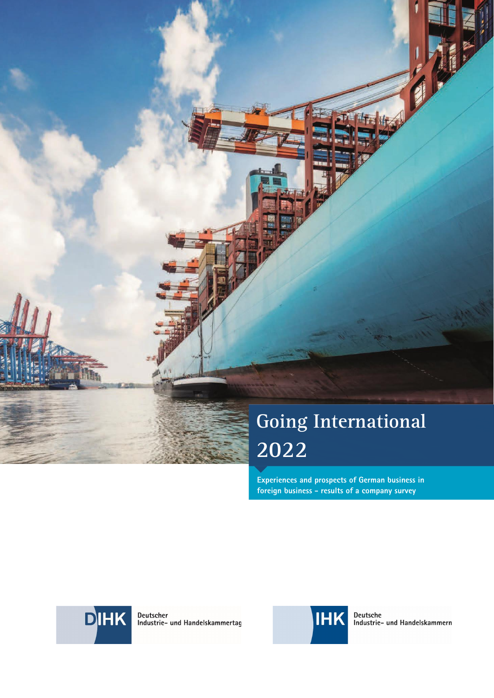# **Going International 2022**

**Experiences and prospects of German business in foreign business - results of a company survey** 



Deutscher<br>Industrie- und Handelskammertag



Deutsche<br>Industrie- und Handelskammern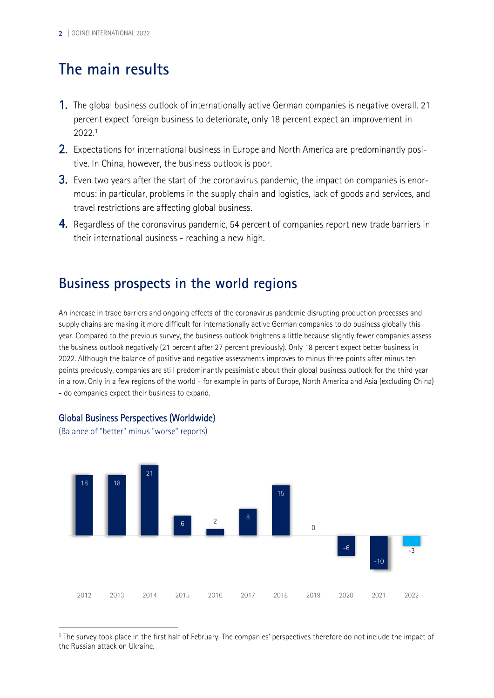# **The main results**

- 1. The global business outlook of internationally active German companies is negative overall. 21 percent expect foreign business to deteriorate, only 18 percent expect an improvement in 2022.[1](#page-1-0)
- <span id="page-1-1"></span>2. Expectations for international business in Europe and North America are predominantly positive. In China, however, the business outlook is poor.
- 3. Even two years after the start of the coronavirus pandemic, the impact on companies is enormous: in particular, problems in the supply chain and logistics, lack of goods and services, and travel restrictions are affecting global business.
- 4. Regardless of the coronavirus pandemic, 54 percent of companies report new trade barriers in their international business - reaching a new high.

### **Business prospects in the world regions**

An increase in trade barriers and ongoing effects of the coronavirus pandemic disrupting production processes and supply chains are making it more difficult for internationally active German companies to do business globally this year. Compared to the previous survey, the business outlook brightens a little because slightly fewer companies assess the business outlook negatively (21 percent after 27 percent previously). Only 18 percent expect better business in 2022. Although the balance of positive and negative assessments improves to minus three points after minus ten points previously, companies are still predominantly pessimistic about their global business outlook for the third year in a row. Only in a few regions of the world - for example in parts of Europe, North America and Asia (excluding China) - do companies expect their business to expand.



#### Global Business Perspectives (Worldwide)

(Balance of "better" minus "worse" reports)

<span id="page-1-0"></span> $^{\rm 1}$  $^{\rm 1}$  $^{\rm 1}$  The survey took place in the first half of February. The companies' perspectives therefore do not include the impact of the Russian attack on Ukraine.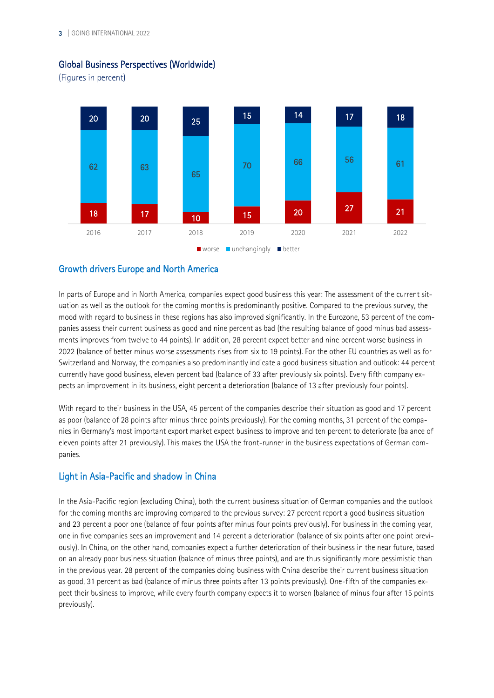

#### Global Business Perspectives (Worldwide)

(Figures in percent)

#### Growth drivers Europe and North America

In parts of Europe and in North America, companies expect good business this year: The assessment of the current situation as well as the outlook for the coming months is predominantly positive. Compared to the previous survey, the mood with regard to business in these regions has also improved significantly. In the Eurozone, 53 percent of the companies assess their current business as good and nine percent as bad (the resulting balance of good minus bad assessments improves from twelve to 44 points). In addition, 28 percent expect better and nine percent worse business in 2022 (balance of better minus worse assessments rises from six to 19 points). For the other EU countries as well as for Switzerland and Norway, the companies also predominantly indicate a good business situation and outlook: 44 percent currently have good business, eleven percent bad (balance of 33 after previously six points). Every fifth company expects an improvement in its business, eight percent a deterioration (balance of 13 after previously four points).

With regard to their business in the USA, 45 percent of the companies describe their situation as good and 17 percent as poor (balance of 28 points after minus three points previously). For the coming months, 31 percent of the companies in Germany's most important export market expect business to improve and ten percent to deteriorate (balance of eleven points after 21 previously). This makes the USA the front-runner in the business expectations of German companies.

#### Light in Asia-Pacific and shadow in China

In the Asia-Pacific region (excluding China), both the current business situation of German companies and the outlook for the coming months are improving compared to the previous survey: 27 percent report a good business situation and 23 percent a poor one (balance of four points after minus four points previously). For business in the coming year, one in five companies sees an improvement and 14 percent a deterioration (balance of six points after one point previously). In China, on the other hand, companies expect a further deterioration of their business in the near future, based on an already poor business situation (balance of minus three points), and are thus significantly more pessimistic than in the previous year. 28 percent of the companies doing business with China describe their current business situation as good, 31 percent as bad (balance of minus three points after 13 points previously). One-fifth of the companies expect their business to improve, while every fourth company expects it to worsen (balance of minus four after 15 points previously).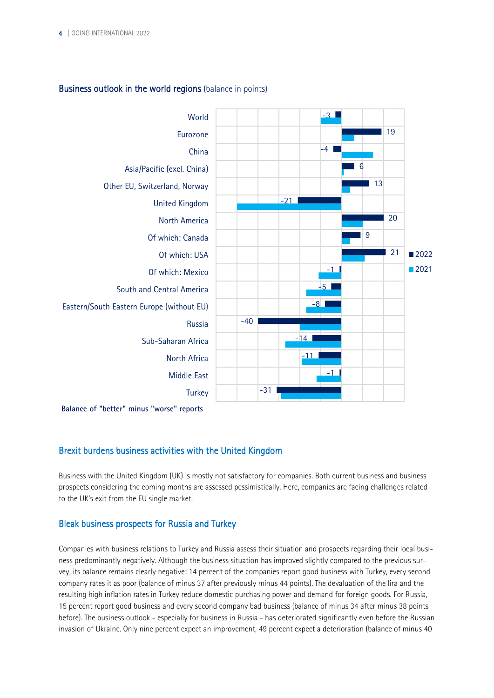

#### Business outlook in the world regions (balance in points)

**Balance of "better" minus "worse" reports**

#### Brexit burdens business activities with the United Kingdom

Business with the United Kingdom (UK) is mostly not satisfactory for companies. Both current business and business prospects considering the coming months are assessed pessimistically. Here, companies are facing challenges related to the UK's exit from the EU single market.

#### Bleak business prospects for Russia and Turkey

Companies with business relations to Turkey and Russia assess their situation and prospects regarding their local business predominantly negatively. Although the business situation has improved slightly compared to the previous survey, its balance remains clearly negative: 14 percent of the companies report good business with Turkey, every second company rates it as poor (balance of minus 37 after previously minus 44 points). The devaluation of the lira and the resulting high inflation rates in Turkey reduce domestic purchasing power and demand for foreign goods. For Russia, 15 percent report good business and every second company bad business (balance of minus 34 after minus 38 points before). The business outlook - especially for business in Russia - has deteriorated significantly even before the Russian invasion of Ukraine. Only nine percent expect an improvement, 49 percent expect a deterioration (balance of minus 40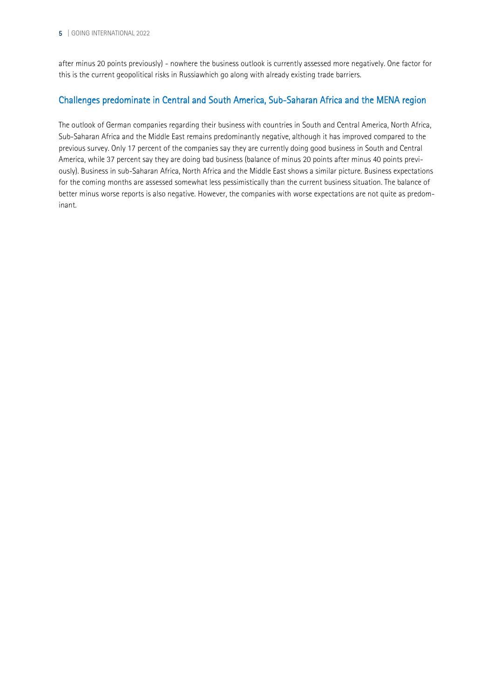after minus 20 points previously) - nowhere the business outlook is currently assessed more negatively. One factor for this is the current geopolitical risks in Russiawhich go along with already existing trade barriers.

#### Challenges predominate in Central and South America, Sub-Saharan Africa and the MENA region

The outlook of German companies regarding their business with countries in South and Central America, North Africa, Sub-Saharan Africa and the Middle East remains predominantly negative, although it has improved compared to the previous survey. Only 17 percent of the companies say they are currently doing good business in South and Central America, while 37 percent say they are doing bad business (balance of minus 20 points after minus 40 points previously). Business in sub-Saharan Africa, North Africa and the Middle East shows a similar picture. Business expectations for the coming months are assessed somewhat less pessimistically than the current business situation. The balance of better minus worse reports is also negative. However, the companies with worse expectations are not quite as predominant.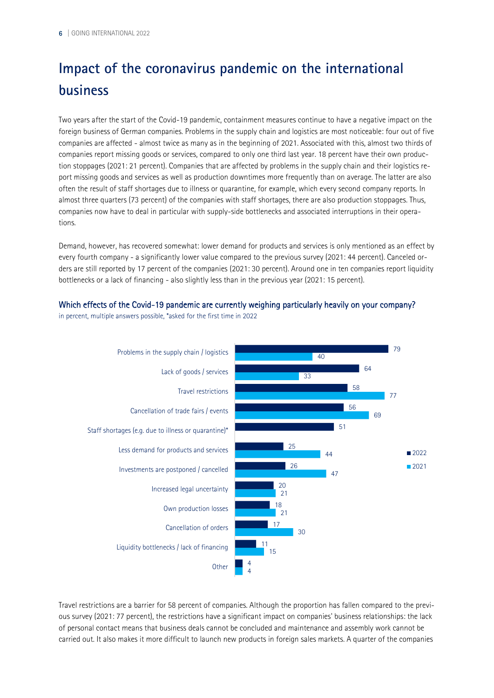# **Impact of the coronavirus pandemic on the international business**

Two years after the start of the Covid-19 pandemic, containment measures continue to have a negative impact on the foreign business of German companies. Problems in the supply chain and logistics are most noticeable: four out of five companies are affected - almost twice as many as in the beginning of 2021. Associated with this, almost two thirds of companies report missing goods or services, compared to only one third last year. 18 percent have their own production stoppages (2021: 21 percent). Companies that are affected by problems in the supply chain and their logistics report missing goods and services as well as production downtimes more frequently than on average. The latter are also often the result of staff shortages due to illness or quarantine, for example, which every second company reports. In almost three quarters (73 percent) of the companies with staff shortages, there are also production stoppages. Thus, companies now have to deal in particular with supply-side bottlenecks and associated interruptions in their operations.

Demand, however, has recovered somewhat: lower demand for products and services is only mentioned as an effect by every fourth company - a significantly lower value compared to the previous survey (2021: 44 percent). Canceled orders are still reported by 17 percent of the companies (2021: 30 percent). Around one in ten companies report liquidity bottlenecks or a lack of financing - also slightly less than in the previous year (2021: 15 percent).

#### Which effects of the Covid-19 pandemic are currently weighing particularly heavily on your company?

in percent, multiple answers possible, \*asked for the first time in 2022



Travel restrictions are a barrier for 58 percent of companies. Although the proportion has fallen compared to the previous survey (2021: 77 percent), the restrictions have a significant impact on companies' business relationships: the lack of personal contact means that business deals cannot be concluded and maintenance and assembly work cannot be carried out. It also makes it more difficult to launch new products in foreign sales markets. A quarter of the companies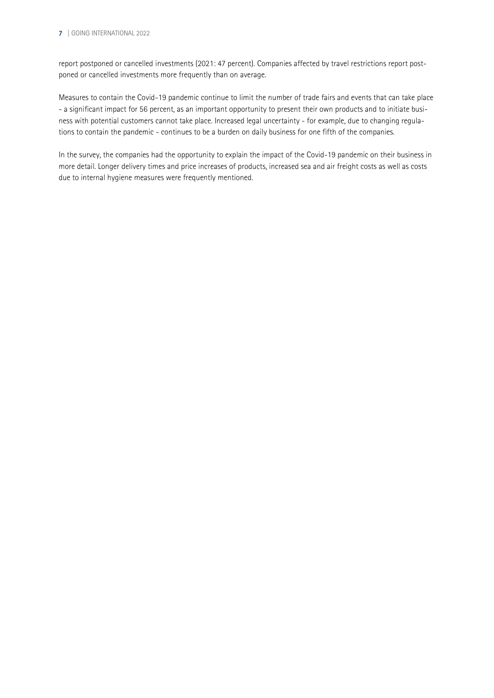#### 7 | GOING INTERNATIONAL 2022

report postponed or cancelled investments (2021: 47 percent). Companies affected by travel restrictions report postponed or cancelled investments more frequently than on average.

Measures to contain the Covid-19 pandemic continue to limit the number of trade fairs and events that can take place - a significant impact for 56 percent, as an important opportunity to present their own products and to initiate business with potential customers cannot take place. Increased legal uncertainty - for example, due to changing regulations to contain the pandemic - continues to be a burden on daily business for one fifth of the companies.

In the survey, the companies had the opportunity to explain the impact of the Covid-19 pandemic on their business in more detail. Longer delivery times and price increases of products, increased sea and air freight costs as well as costs due to internal hygiene measures were frequently mentioned.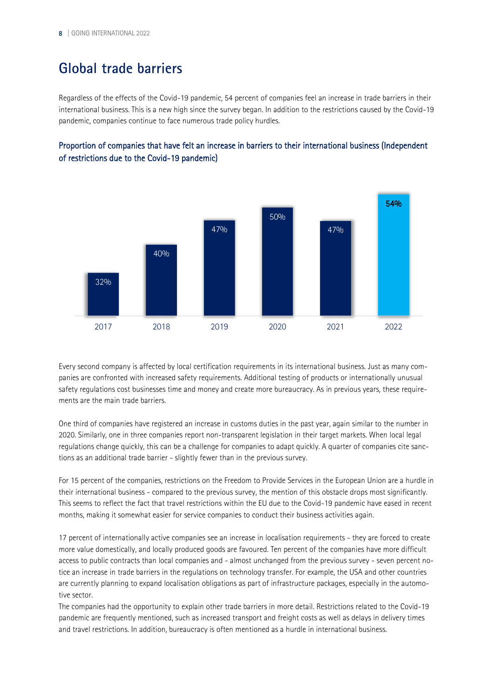# **Global trade barriers**

Regardless of the effects of the Covid-19 pandemic, 54 percent of companies feel an increase in trade barriers in their international business. This is a new high since the survey began. In addition to the restrictions caused by the Covid-19 pandemic, companies continue to face numerous trade policy hurdles.





Every second company is affected by local certification requirements in its international business. Just as many companies are confronted with increased safety requirements. Additional testing of products or internationally unusual safety regulations cost businesses time and money and create more bureaucracy. As in previous years, these requirements are the main trade barriers.

One third of companies have registered an increase in customs duties in the past year, again similar to the number in 2020. Similarly, one in three companies report non-transparent legislation in their target markets. When local legal regulations change quickly, this can be a challenge for companies to adapt quickly. A quarter of companies cite sanctions as an additional trade barrier - slightly fewer than in the previous survey.

For 15 percent of the companies, restrictions on the Freedom to Provide Services in the European Union are a hurdle in their international business - compared to the previous survey, the mention of this obstacle drops most significantly. This seems to reflect the fact that travel restrictions within the EU due to the Covid-19 pandemic have eased in recent months, making it somewhat easier for service companies to conduct their business activities again.

17 percent of internationally active companies see an increase in localisation requirements - they are forced to create more value domestically, and locally produced goods are favoured. Ten percent of the companies have more difficult access to public contracts than local companies and - almost unchanged from the previous survey - seven percent notice an increase in trade barriers in the regulations on technology transfer. For example, the USA and other countries are currently planning to expand localisation obligations as part of infrastructure packages, especially in the automotive sector.

The companies had the opportunity to explain other trade barriers in more detail. Restrictions related to the Covid-19 pandemic are frequently mentioned, such as increased transport and freight costs as well as delays in delivery times and travel restrictions. In addition, bureaucracy is often mentioned as a hurdle in international business.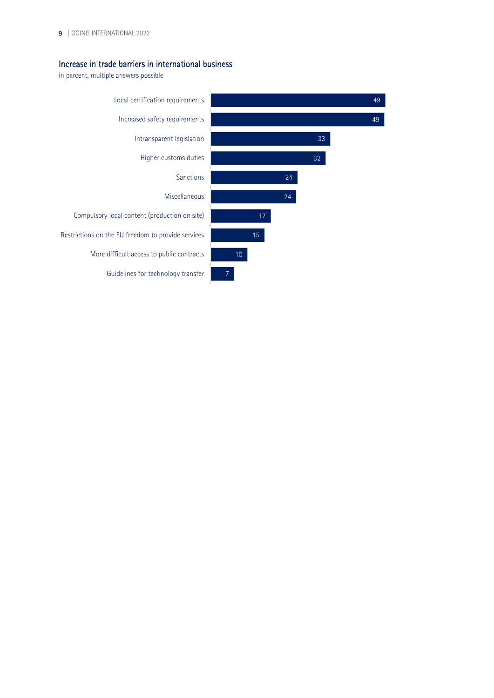#### Increase in trade barriers in international business

in percent, multiple answers possible

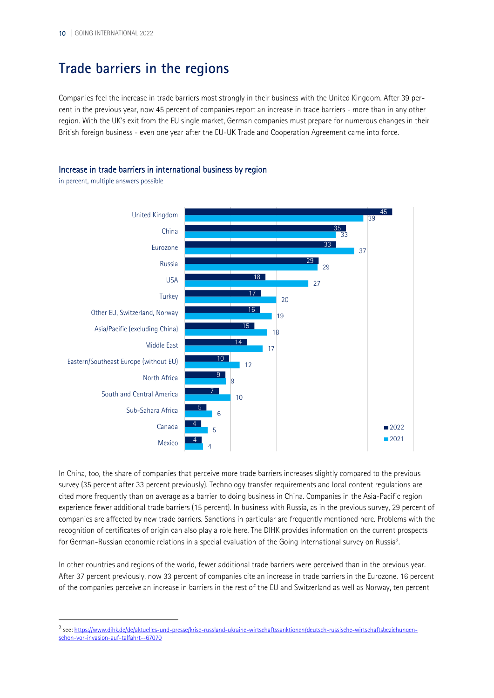# **Trade barriers in the regions**

Companies feel the increase in trade barriers most strongly in their business with the United Kingdom. After 39 percent in the previous year, now 45 percent of companies report an increase in trade barriers - more than in any other region. With the UK's exit from the EU single market, German companies must prepare for numerous changes in their British foreign business - even one year after the EU-UK Trade and Cooperation Agreement came into force.

#### Increase in trade barriers in international business by region

in percent, multiple answers possible



In China, too, the share of companies that perceive more trade barriers increases slightly compared to the previous survey (35 percent after 33 percent previously). Technology transfer requirements and local content regulations are cited more frequently than on average as a barrier to doing business in China. Companies in the Asia-Pacific region experience fewer additional trade barriers (15 percent). In business with Russia, as in the previous survey, 29 percent of companies are affected by new trade barriers. Sanctions in particular are frequently mentioned here. Problems with the recognition of certificates of origin can also play a role here. The DIHK provides information on the current prospects for German-Russian economic relations in a special evaluation of the Going International survey on Russia<sup>[2](#page-9-0)</sup>.

<span id="page-9-1"></span>In other countries and regions of the world, fewer additional trade barriers were perceived than in the previous year. After 37 percent previously, now 33 percent of companies cite an increase in trade barriers in the Eurozone. 16 percent of the companies perceive an increase in barriers in the rest of the EU and Switzerland as well as Norway, ten percent

<span id="page-9-0"></span>[<sup>2</sup>](#page-9-1) see[: https://www.dihk.de/de/aktuelles-und-presse/krise-russland-ukraine-wirtschaftssanktionen/deutsch-russische-wirtschaftsbeziehungen](https://www.dihk.de/de/aktuelles-und-presse/krise-russland-ukraine-wirtschaftssanktionen/deutsch-russische-wirtschaftsbeziehungen-schon-vor-invasion-auf-talfahrt--67070)[schon-vor-invasion-auf-talfahrt--67070](https://www.dihk.de/de/aktuelles-und-presse/krise-russland-ukraine-wirtschaftssanktionen/deutsch-russische-wirtschaftsbeziehungen-schon-vor-invasion-auf-talfahrt--67070)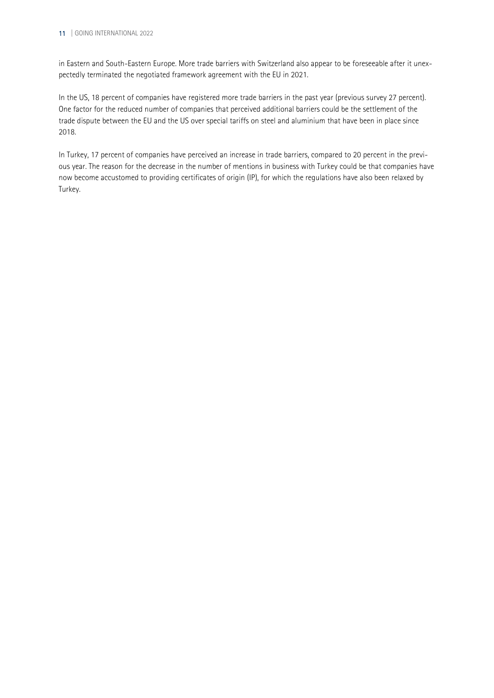#### 11 | GOING INTERNATIONAL 2022

in Eastern and South-Eastern Europe. More trade barriers with Switzerland also appear to be foreseeable after it unexpectedly terminated the negotiated framework agreement with the EU in 2021.

In the US, 18 percent of companies have registered more trade barriers in the past year (previous survey 27 percent). One factor for the reduced number of companies that perceived additional barriers could be the settlement of the trade dispute between the EU and the US over special tariffs on steel and aluminium that have been in place since 2018.

In Turkey, 17 percent of companies have perceived an increase in trade barriers, compared to 20 percent in the previous year. The reason for the decrease in the number of mentions in business with Turkey could be that companies have now become accustomed to providing certificates of origin (IP), for which the regulations have also been relaxed by Turkey.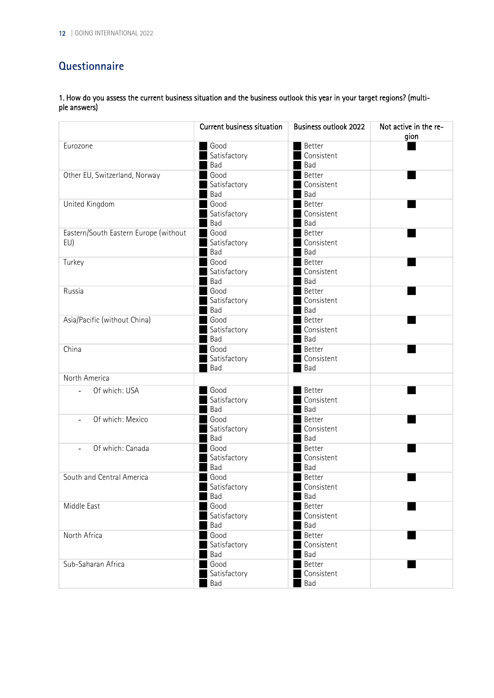### **Questionnaire**

1. How do you assess the current business situation and the business outlook this year in your target regions? (multiple answers)

|                                       | Current business situation | <b>Business outlook 2022</b> | Not active in the re-<br>gion |
|---------------------------------------|----------------------------|------------------------------|-------------------------------|
| Eurozone                              | Good                       | Better                       |                               |
|                                       | Satisfactory               | Consistent                   |                               |
|                                       | Bad                        | Bad                          |                               |
| Other EU, Switzerland, Norway         | Good                       | <b>Better</b>                |                               |
|                                       | Satisfactory               | Consistent                   |                               |
|                                       | Bad                        | Bad                          |                               |
| United Kingdom                        | Good                       | Better                       |                               |
|                                       | Satisfactory<br>Bad        | Consistent<br>Bad            |                               |
| Eastern/South Eastern Europe (without | Good                       | Better                       |                               |
| EU)                                   |                            | Consistent                   |                               |
|                                       | Satisfactory<br>Bad        | Bad                          |                               |
| Turkey                                | Good                       | Better                       |                               |
|                                       | Satisfactory               | Consistent                   |                               |
|                                       | Bad                        | Bad                          |                               |
| Russia                                | Good                       | <b>Better</b>                |                               |
|                                       | Satisfactory               | Consistent                   |                               |
|                                       | Bad                        | Bad                          |                               |
| Asia/Pacific (without China)          | Good                       | Better                       |                               |
|                                       | Satisfactory               | Consistent                   |                               |
|                                       | Bad                        | Bad                          |                               |
| China                                 | Good                       | <b>Better</b>                |                               |
|                                       | Satisfactory               | Consistent                   |                               |
|                                       | Bad                        | Bad                          |                               |
| North America                         |                            |                              |                               |
| Of which: USA<br>$\blacksquare$       | Good                       | <b>Better</b>                |                               |
|                                       | Satisfactory               | Consistent                   |                               |
|                                       | Bad                        | Bad                          |                               |
| Of which: Mexico<br>$\blacksquare$    | Good                       | <b>Better</b>                |                               |
|                                       | Satisfactory               | Consistent                   |                               |
|                                       | Bad                        | Bad                          |                               |
| Of which: Canada<br>$\blacksquare$    | Good                       | <b>Better</b>                |                               |
|                                       | Satisfactory               | Consistent                   |                               |
|                                       | Bad                        | Bad                          |                               |
| South and Central America             | Good                       | <b>Better</b>                |                               |
|                                       | Satisfactory               | Consistent                   |                               |
|                                       | Bad                        | Bad                          |                               |
| Middle East                           | Good                       | Better                       |                               |
|                                       | Satisfactory               | Consistent                   |                               |
|                                       | Bad<br>Good                | Bad                          |                               |
| North Africa                          |                            | Better                       |                               |
|                                       | Satisfactory<br>Bad        | Consistent<br>Bad            |                               |
| Sub-Saharan Africa                    | Good                       | Better                       |                               |
|                                       | Satisfactory               | Consistent                   |                               |
|                                       | Bad                        | Bad                          |                               |
|                                       |                            |                              |                               |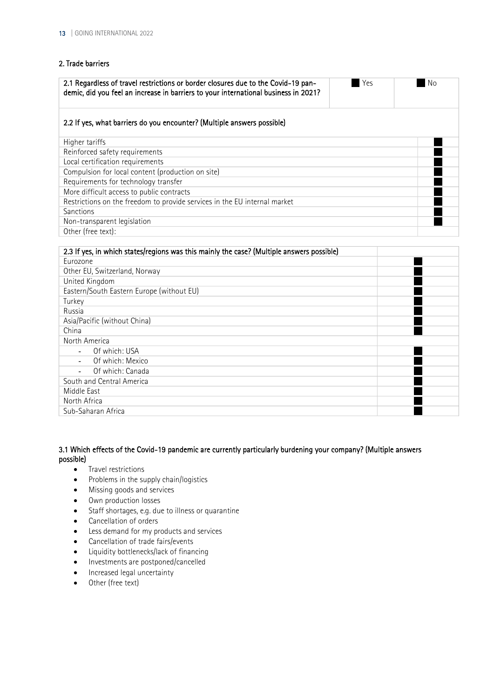#### 2. Trade barriers

| 2.1 Regardless of travel restrictions or border closures due to the Covid-19 pan-<br>demic, did you feel an increase in barriers to your international business in 2021? | Yes | -No |
|--------------------------------------------------------------------------------------------------------------------------------------------------------------------------|-----|-----|
| 2.2 If yes, what barriers do you encounter? (Multiple answers possible)                                                                                                  |     |     |
| Higher tariffs                                                                                                                                                           |     |     |
| Reinforced safety requirements                                                                                                                                           |     |     |
| Local certification requirements                                                                                                                                         |     |     |
| Compulsion for local content (production on site)                                                                                                                        |     |     |
| Requirements for technology transfer                                                                                                                                     |     |     |
| More difficult access to public contracts                                                                                                                                |     |     |
| Restrictions on the freedom to provide services in the EU internal market                                                                                                |     |     |
| <b>Sanctions</b>                                                                                                                                                         |     |     |
| Non-transparent legislation                                                                                                                                              |     |     |
| Other (free text):                                                                                                                                                       |     |     |

| 2.3 If yes, in which states/regions was this mainly the case? (Multiple answers possible) |  |
|-------------------------------------------------------------------------------------------|--|
| Eurozone                                                                                  |  |
| Other EU, Switzerland, Norway                                                             |  |
| United Kingdom                                                                            |  |
| Eastern/South Eastern Europe (without EU)                                                 |  |
| Turkey                                                                                    |  |
| Russia                                                                                    |  |
| Asia/Pacific (without China)                                                              |  |
| China                                                                                     |  |
| North America                                                                             |  |
| Of which: USA                                                                             |  |
| Of which: Mexico                                                                          |  |
| Of which: Canada                                                                          |  |
| South and Central America                                                                 |  |
| Middle East                                                                               |  |
| North Africa                                                                              |  |
| Sub-Saharan Africa                                                                        |  |

#### 3.1 Which effects of the Covid-19 pandemic are currently particularly burdening your company? (Multiple answers possible)

- Travel restrictions
- Problems in the supply chain/logistics
- Missing goods and services
- Own production losses
- Staff shortages, e.g. due to illness or quarantine
- Cancellation of orders
- Less demand for my products and services
- Cancellation of trade fairs/events
- Liquidity bottlenecks/lack of financing
- Investments are postponed/cancelled
- Increased legal uncertainty
- Other (free text)